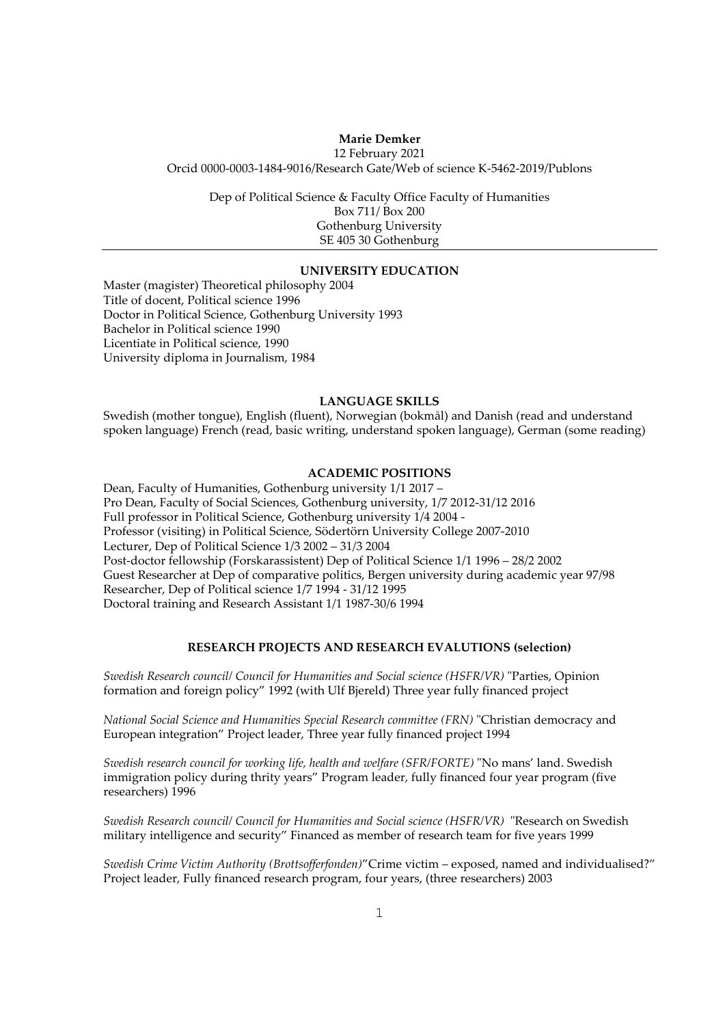### **Marie Demker**

12 February 2021 Orcid 0000-0003-1484-9016/Research Gate/Web of science K-5462-2019/Publons

Dep of Political Science & Faculty Office Faculty of Humanities Box 711/ Box 200 Gothenburg University SE 405 30 Gothenburg

## **UNIVERSITY EDUCATION**

Master (magister) Theoretical philosophy 2004 Title of docent, Political science 1996 Doctor in Political Science, Gothenburg University 1993 Bachelor in Political science 1990 Licentiate in Political science, 1990 University diploma in Journalism, 1984

### **LANGUAGE SKILLS**

Swedish (mother tongue), English (fluent), Norwegian (bokmål) and Danish (read and understand spoken language) French (read, basic writing, understand spoken language), German (some reading)

# **ACADEMIC POSITIONS**

Dean, Faculty of Humanities, Gothenburg university 1/1 2017 – Pro Dean, Faculty of Social Sciences, Gothenburg university, 1/7 2012-31/12 2016 Full professor in Political Science, Gothenburg university 1/4 2004 - Professor (visiting) in Political Science, Södertörn University College 2007-2010 Lecturer, Dep of Political Science 1/3 2002 – 31/3 2004 Post-doctor fellowship (Forskarassistent) Dep of Political Science 1/1 1996 – 28/2 2002 Guest Researcher at Dep of comparative politics, Bergen university during academic year 97/98 Researcher, Dep of Political science 1/7 1994 - 31/12 1995 Doctoral training and Research Assistant 1/1 1987-30/6 1994

## **RESEARCH PROJECTS AND RESEARCH EVALUTIONS (selection)**

*Swedish Research council/ Council for Humanities and Social science (HSFR/VR)* "Parties, Opinion formation and foreign policy" 1992 (with Ulf Bjereld) Three year fully financed project

*National Social Science and Humanities Special Research committee (FRN)* "Christian democracy and European integration" Project leader, Three year fully financed project 1994

*Swedish research council for working life, health and welfare (SFR/FORTE)* "No mans' land. Swedish immigration policy during thrity years" Program leader, fully financed four year program (five researchers) 1996

*Swedish Research council/ Council for Humanities and Social science (HSFR/VR)* "Research on Swedish military intelligence and security" Financed as member of research team for five years 1999

*Swedish Crime Victim Authority (Brottsofferfonden)*"Crime victim – exposed, named and individualised?" Project leader, Fully financed research program, four years, (three researchers) 2003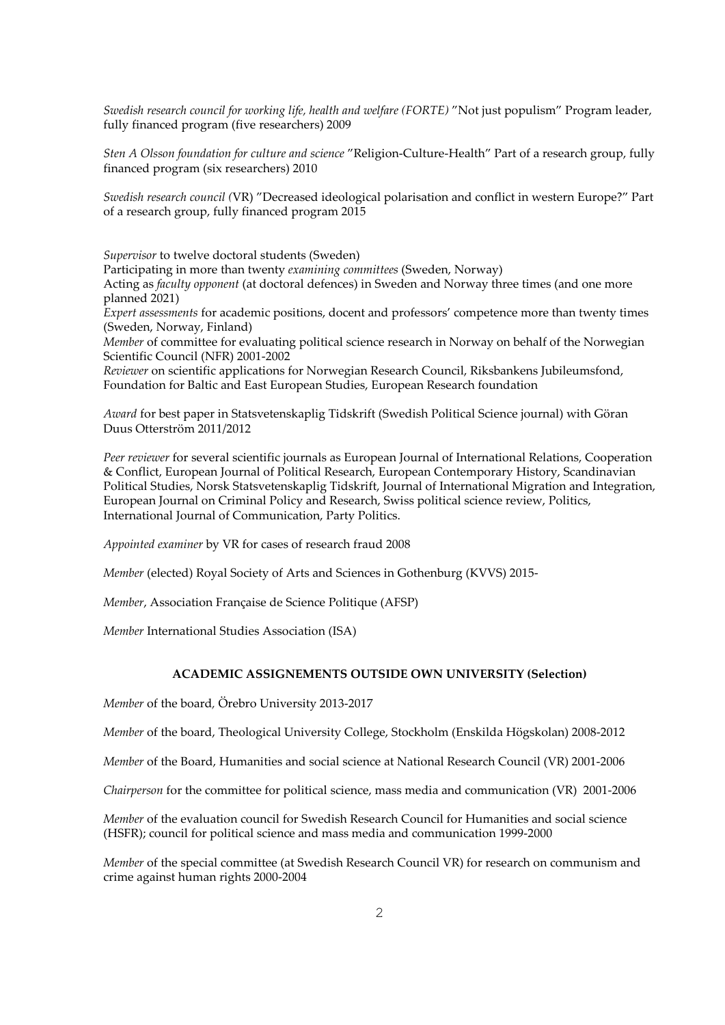*Swedish research council for working life, health and welfare (FORTE)* "Not just populism" Program leader, fully financed program (five researchers) 2009

*Sten A Olsson foundation for culture and science* "Religion-Culture-Health" Part of a research group, fully financed program (six researchers) 2010

*Swedish research council (*VR) "Decreased ideological polarisation and conflict in western Europe?" Part of a research group, fully financed program 2015

*Supervisor* to twelve doctoral students (Sweden) Participating in more than twenty *examining committees* (Sweden, Norway) Acting as *faculty opponent* (at doctoral defences) in Sweden and Norway three times (and one more planned 2021) *Expert assessments* for academic positions, docent and professors' competence more than twenty times (Sweden, Norway, Finland)

*Member* of committee for evaluating political science research in Norway on behalf of the Norwegian Scientific Council (NFR) 2001-2002

*Reviewer* on scientific applications for Norwegian Research Council, Riksbankens Jubileumsfond, Foundation for Baltic and East European Studies, European Research foundation

*Award* for best paper in Statsvetenskaplig Tidskrift (Swedish Political Science journal) with Göran Duus Otterström 2011/2012

*Peer reviewer* for several scientific journals as European Journal of International Relations, Cooperation & Conflict, European Journal of Political Research, European Contemporary History, Scandinavian Political Studies, Norsk Statsvetenskaplig Tidskrift, Journal of International Migration and Integration, European Journal on Criminal Policy and Research, Swiss political science review, Politics, International Journal of Communication, Party Politics.

*Appointed examiner* by VR for cases of research fraud 2008

*Member* (elected) Royal Society of Arts and Sciences in Gothenburg (KVVS) 2015-

*Member*, Association Française de Science Politique (AFSP)

*Member* International Studies Association (ISA)

## **ACADEMIC ASSIGNEMENTS OUTSIDE OWN UNIVERSITY (Selection)**

*Member* of the board*,* Örebro University 2013-2017

*Member* of the board, Theological University College, Stockholm (Enskilda Högskolan) 2008-2012

*Member* of the Board, Humanities and social science at National Research Council (VR) 2001-2006

*Chairperson* for the committee for political science, mass media and communication (VR) 2001-2006

*Member* of the evaluation council for Swedish Research Council for Humanities and social science (HSFR); council for political science and mass media and communication 1999-2000

*Member* of the special committee (at Swedish Research Council VR) for research on communism and crime against human rights 2000-2004